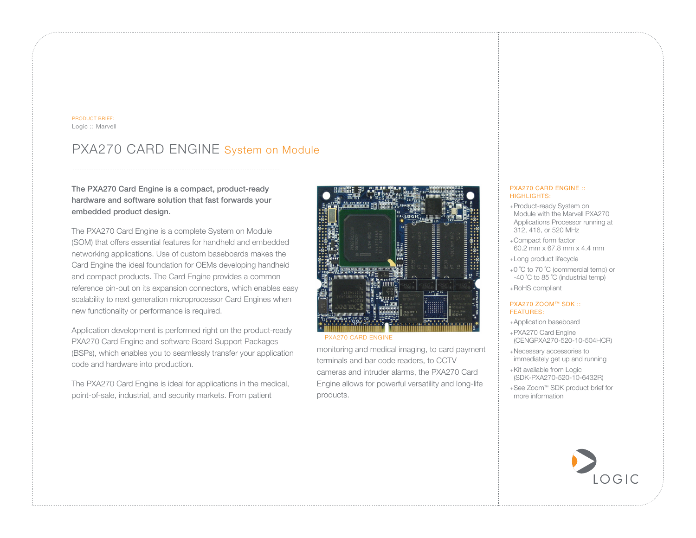#### PRODUCT BRIEF: Logic :: Marvell

# PXA270 CARD ENGINE System on Module

## The PXA270 Card Engine is a compact, product-ready hardware and software solution that fast forwards your embedded product design.

The PXA270 Card Engine is a complete System on Module (SOM) that offers essential features for handheld and embedded networking applications. Use of custom baseboards makes the Card Engine the ideal foundation for OEMs developing handheld and compact products. The Card Engine provides a common reference pin-out on its expansion connectors, which enables easy scalability to next generation microprocessor Card Engines when new functionality or performance is required.

Application development is performed right on the product-ready PXA270 Card Engine and software Board Support Packages (BSPs), which enables you to seamlessly transfer your application code and hardware into production.

The PXA270 Card Engine is ideal for applications in the medical, point-of-sale, industrial, and security markets. From patient



PXA270 CARD ENGINE

monitoring and medical imaging, to card payment terminals and bar code readers, to CCTV cameras and intruder alarms, the PXA270 Card Engine allows for powerful versatility and long-life products.

#### PXA270 CARD ENGINE :: HIGHLIGHTS:

- +Product-ready System on Module with the Marvell PXA270 Applications Processor running at 312, 416, or 520 MHz
- +Compact form factor 60.2 mm x 67.8 mm x 4.4 mm
- +Long product lifecycle
- +0 ˚C to 70 ˚C (commercial temp) or -40 °C to 85 °C (industrial temp)
- +RoHS compliant

#### PXA270 ZOOM™ SDK :: FEATURES:

- +Application baseboard
- +PXA270 Card Engine (CENGPXA270-520-10-504HCR)
- +Necessary accessories to immediately get up and running
- +Kit available from Logic (SDK-PXA270-520-10-6432R)
- +See Zoom™ SDK product brief for more information